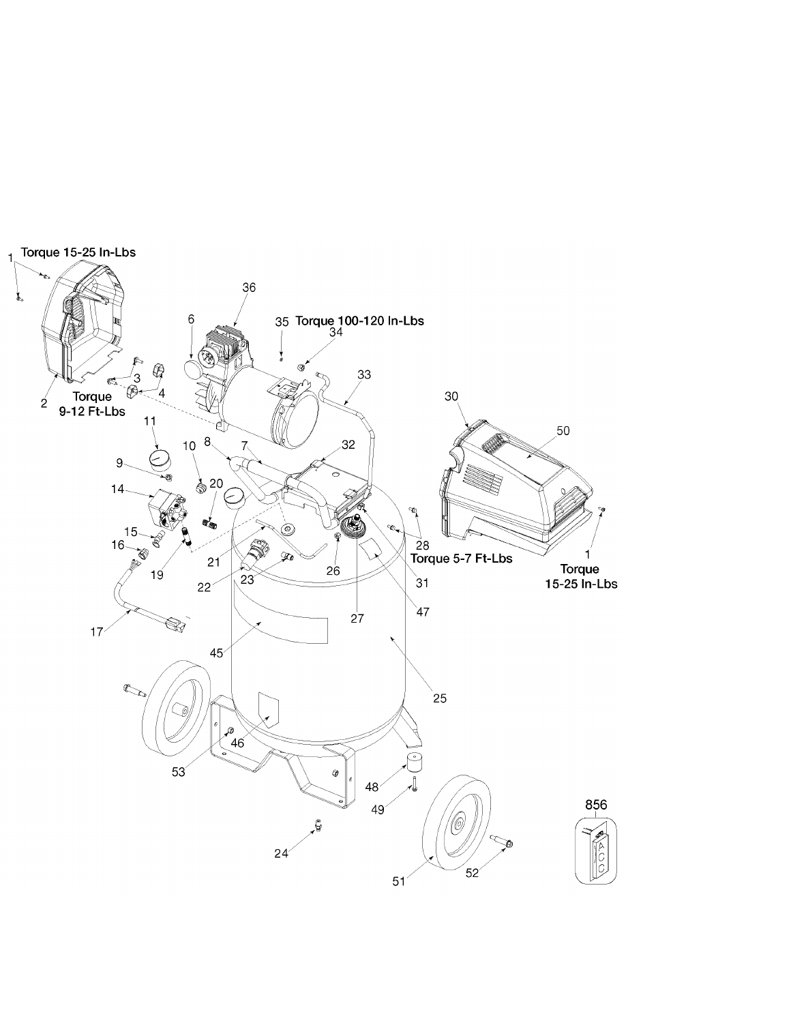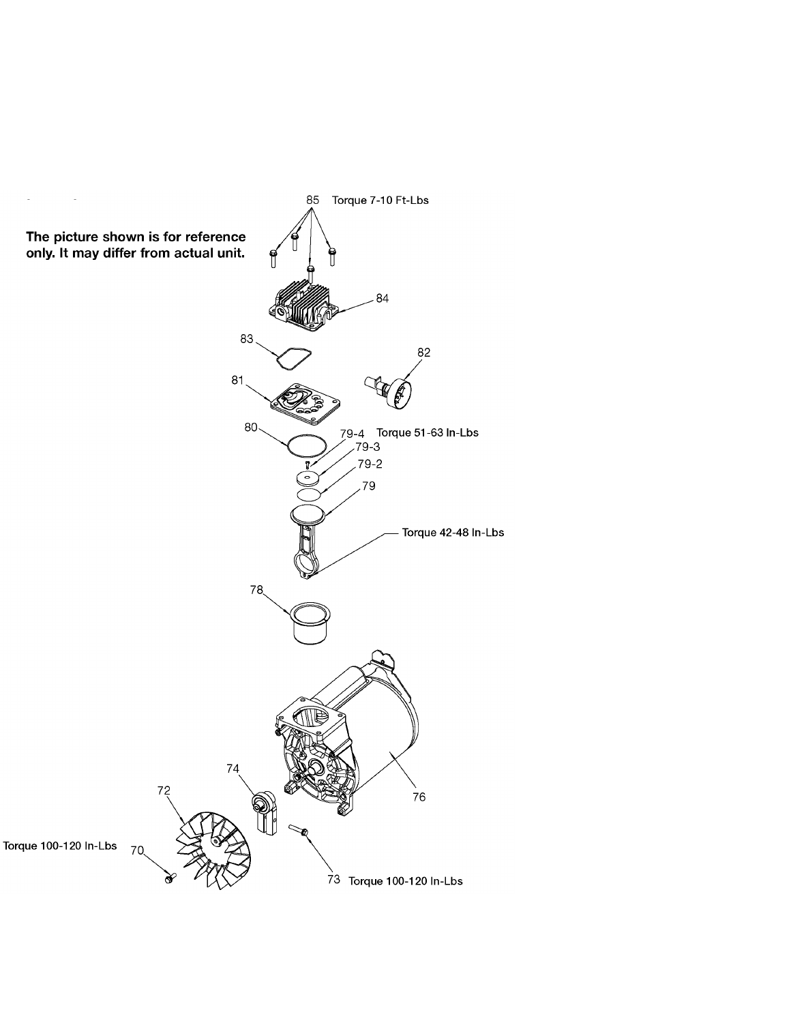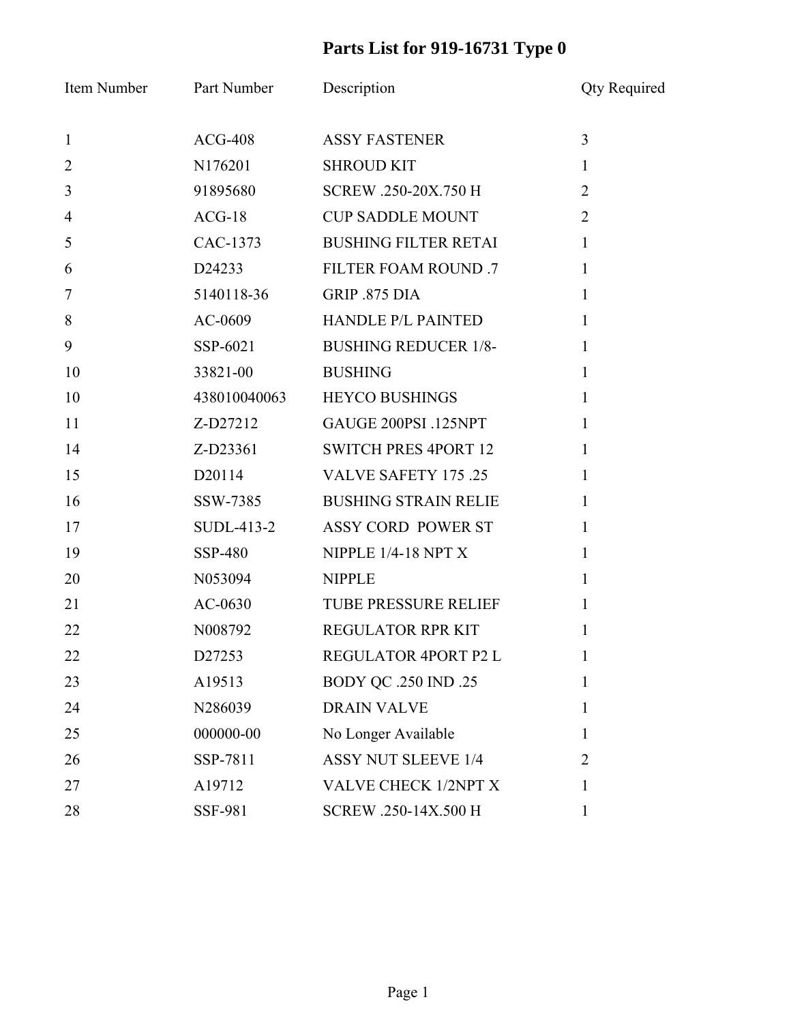## **Parts List for 919-16731 Type 0**

| Item Number    | Part Number        | Description                 | <b>Qty Required</b> |
|----------------|--------------------|-----------------------------|---------------------|
| $\mathbf{1}$   | $ACG-408$          | <b>ASSY FASTENER</b>        | $\overline{3}$      |
| $\overline{2}$ | N176201            | <b>SHROUD KIT</b>           | $\mathbf{1}$        |
| 3              | 91895680           | SCREW .250-20X.750 H        | $\overline{2}$      |
| $\overline{4}$ | $ACG-18$           | <b>CUP SADDLE MOUNT</b>     | $\overline{2}$      |
| 5              | CAC-1373           | <b>BUSHING FILTER RETAI</b> | $\mathbf{1}$        |
| 6              | D24233             | FILTER FOAM ROUND .7        | $\mathbf{1}$        |
| $\overline{7}$ | 5140118-36         | GRIP .875 DIA               | $\mathbf{1}$        |
| 8              | AC-0609            | <b>HANDLE P/L PAINTED</b>   | $\mathbf{1}$        |
| 9              | SSP-6021           | <b>BUSHING REDUCER 1/8-</b> | $\mathbf{1}$        |
| 10             | 33821-00           | <b>BUSHING</b>              | $\mathbf{1}$        |
| 10             | 438010040063       | <b>HEYCO BUSHINGS</b>       | $\mathbf{1}$        |
| 11             | Z-D27212           | GAUGE 200PSI .125NPT        | $\mathbf{1}$        |
| 14             | Z-D23361           | <b>SWITCH PRES 4PORT 12</b> | $\mathbf{1}$        |
| 15             | D <sub>20114</sub> | <b>VALVE SAFETY 175 .25</b> | $\mathbf{1}$        |
| 16             | SSW-7385           | <b>BUSHING STRAIN RELIE</b> | $\mathbf{1}$        |
| 17             | SUDL-413-2         | ASSY CORD POWER ST          | $\mathbf{1}$        |
| 19             | <b>SSP-480</b>     | NIPPLE 1/4-18 NPT X         | $\mathbf{1}$        |
| 20             | N053094            | <b>NIPPLE</b>               | $\mathbf{1}$        |
| 21             | $AC-0630$          | <b>TUBE PRESSURE RELIEF</b> | $\mathbf{1}$        |
| 22             | N008792            | <b>REGULATOR RPR KIT</b>    | 1                   |
| 22             | D27253             | REGULATOR 4PORT P2 L        | $\bf{l}$            |
| 23             | A19513             | <b>BODY QC .250 IND .25</b> | 1                   |
| 24             | N286039            | <b>DRAIN VALVE</b>          | 1                   |
| 25             | 000000-00          | No Longer Available         | 1                   |
| 26             | SSP-7811           | <b>ASSY NUT SLEEVE 1/4</b>  | $\overline{2}$      |
| 27             | A19712             | VALVE CHECK 1/2NPT X        | 1                   |
| 28             | <b>SSF-981</b>     | SCREW .250-14X.500 H        | $\mathbf{1}$        |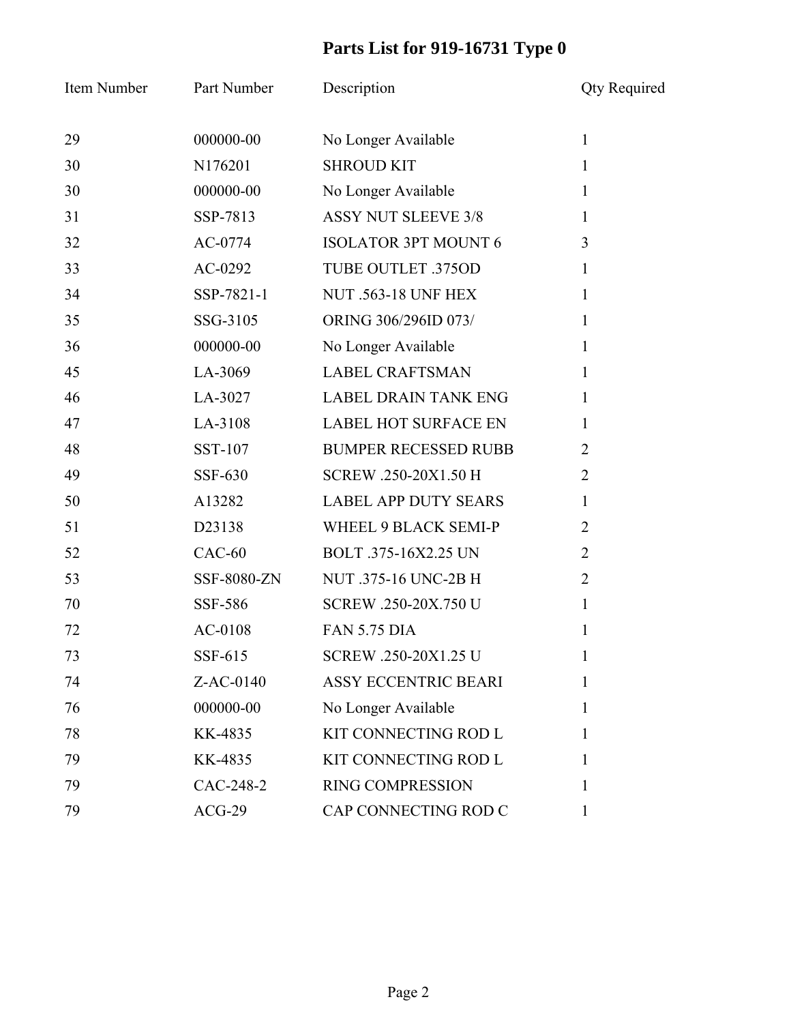## **Parts List for 919-16731 Type 0**

| Item Number | Part Number | Description                 | <b>Qty Required</b> |
|-------------|-------------|-----------------------------|---------------------|
| 29          | 000000-00   | No Longer Available         | $\mathbf{1}$        |
| 30          | N176201     | <b>SHROUD KIT</b>           | $\mathbf{1}$        |
| 30          | 000000-00   | No Longer Available         | $\mathbf{1}$        |
| 31          | SSP-7813    | <b>ASSY NUT SLEEVE 3/8</b>  | $\mathbf{1}$        |
| 32          | AC-0774     | <b>ISOLATOR 3PT MOUNT 6</b> | 3                   |
| 33          | $AC-0292$   | TUBE OUTLET .375OD          | $\mathbf{1}$        |
| 34          | SSP-7821-1  | <b>NUT .563-18 UNF HEX</b>  | $\mathbf{1}$        |
| 35          | SSG-3105    | ORING 306/296ID 073/        | $\mathbf{1}$        |
| 36          | 000000-00   | No Longer Available         | $\mathbf{1}$        |
| 45          | LA-3069     | <b>LABEL CRAFTSMAN</b>      | $\mathbf{1}$        |
| 46          | LA-3027     | <b>LABEL DRAIN TANK ENG</b> | 1                   |
| 47          | LA-3108     | <b>LABEL HOT SURFACE EN</b> | 1                   |
| 48          | SST-107     | <b>BUMPER RECESSED RUBB</b> | $\overline{2}$      |
| 49          | SSF-630     | SCREW .250-20X1.50 H        | $\overline{2}$      |
| 50          | A13282      | <b>LABEL APP DUTY SEARS</b> | 1                   |
| 51          | D23138      | WHEEL 9 BLACK SEMI-P        | $\overline{2}$      |
| 52          | $CAC-60$    | BOLT .375-16X2.25 UN        | $\overline{2}$      |
| 53          | SSF-8080-ZN | NUT .375-16 UNC-2B H        | $\overline{2}$      |
| 70          | SSF-586     | SCREW .250-20X.750 U        | $\mathbf{1}$        |
| 72          | AC-0108     | <b>FAN 5.75 DIA</b>         | 1                   |
| 73          | SSF-615     | SCREW .250-20X1.25 U        | 1                   |
| 74          | Z-AC-0140   | <b>ASSY ECCENTRIC BEARI</b> | 1                   |
| 76          | 000000-00   | No Longer Available         | 1                   |
| 78          | KK-4835     | KIT CONNECTING ROD L        | 1                   |
| 79          | KK-4835     | KIT CONNECTING ROD L        | 1                   |
| 79          | CAC-248-2   | <b>RING COMPRESSION</b>     | 1                   |
| 79          | $ACG-29$    | CAP CONNECTING ROD C        | 1                   |